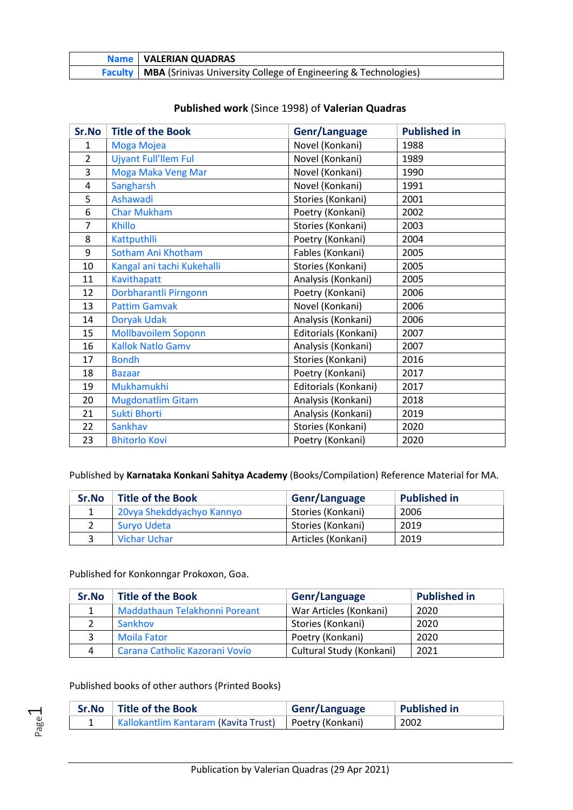| <b>Name   VALERIAN QUADRAS</b>                                                       |
|--------------------------------------------------------------------------------------|
| <b>Faculty   MBA (Srinivas University College of Engineering &amp; Technologies)</b> |

| Sr.No          | <b>Title of the Book</b>    | Genr/Language        | <b>Published in</b> |
|----------------|-----------------------------|----------------------|---------------------|
| $\mathbf{1}$   | Moga Mojea                  | Novel (Konkani)      | 1988                |
| $\overline{2}$ | <b>Ujyant Full'llem Ful</b> | Novel (Konkani)      | 1989                |
| 3              | Moga Maka Veng Mar          | Novel (Konkani)      | 1990                |
| 4              | Sangharsh                   | Novel (Konkani)      | 1991                |
| 5              | Ashawadi                    | Stories (Konkani)    | 2001                |
| 6              | <b>Char Mukham</b>          | Poetry (Konkani)     | 2002                |
| 7              | <b>Khillo</b>               | Stories (Konkani)    | 2003                |
| 8              | Kattputhlli                 | Poetry (Konkani)     | 2004                |
| 9              | Sotham Ani Khotham          | Fables (Konkani)     | 2005                |
| 10             | Kangal ani tachi Kukehalli  | Stories (Konkani)    | 2005                |
| 11             | Kavithapatt                 | Analysis (Konkani)   | 2005                |
| 12             | Dorbharantli Pirngonn       | Poetry (Konkani)     | 2006                |
| 13             | <b>Pattim Gamvak</b>        | Novel (Konkani)      | 2006                |
| 14             | <b>Doryak Udak</b>          | Analysis (Konkani)   | 2006                |
| 15             | <b>Mollbavoilem Soponn</b>  | Editorials (Konkani) | 2007                |
| 16             | <b>Kallok Natlo Gamv</b>    | Analysis (Konkani)   | 2007                |
| 17             | <b>Bondh</b>                | Stories (Konkani)    | 2016                |
| 18             | <b>Bazaar</b>               | Poetry (Konkani)     | 2017                |
| 19             | Mukhamukhi                  | Editorials (Konkani) | 2017                |
| 20             | <b>Mugdonatlim Gitam</b>    | Analysis (Konkani)   | 2018                |
| 21             | Sukti Bhorti                | Analysis (Konkani)   | 2019                |
| 22             | Sankhav                     | Stories (Konkani)    | 2020                |
| 23             | <b>Bhitorlo Kovi</b>        | Poetry (Konkani)     | 2020                |

## **Published work** (Since 1998) of **Valerian Quadras**

Published by **Karnataka Konkani Sahitya Academy** (Books/Compilation) Reference Material for MA.

| Sr.No | <b>Title of the Book</b>  | Genr/Language      | <b>Published in</b> |
|-------|---------------------------|--------------------|---------------------|
|       | 20 ya Shekddyachyo Kannyo | Stories (Konkani)  | 2006                |
|       | Survo Udeta               | Stories (Konkani)  | 2019                |
|       | Vichar Uchar              | Articles (Konkani) | 2019                |

Published for Konkonngar Prokoxon, Goa.

| Sr.No | <b>Title of the Book</b>       | Genr/Language            | <b>Published in</b> |
|-------|--------------------------------|--------------------------|---------------------|
|       | Maddathaun Telakhonni Poreant  | War Articles (Konkani)   | 2020                |
|       | Sankhov                        | Stories (Konkani)        | 2020                |
|       | <b>Moila Fator</b>             | Poetry (Konkani)         | 2020                |
| 4     | Carana Catholic Kazorani Vovio | Cultural Study (Konkani) | 2021                |

## Published books of other authors (Printed Books)

Page  $\overline{\phantom{0}}$ 

| Sr.No   Title of the Book                               | Genr/Language | <b>Published in</b> |
|---------------------------------------------------------|---------------|---------------------|
| Kallokantlim Kantaram (Kavita Trust)   Poetry (Konkani) |               | 2002                |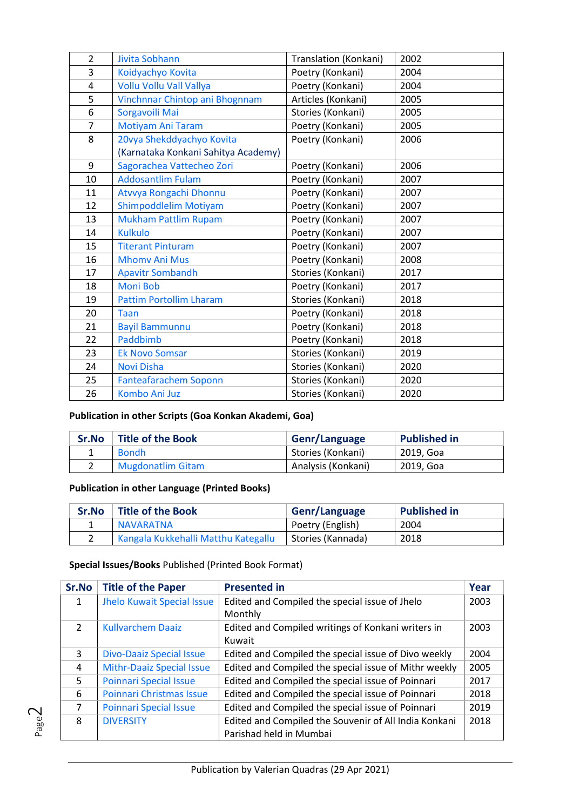| $\overline{2}$ | <b>Jivita Sobhann</b>               | Translation (Konkani) | 2002 |
|----------------|-------------------------------------|-----------------------|------|
| 3              | Koidyachyo Kovita                   | Poetry (Konkani)      | 2004 |
| 4              | Vollu Vollu Vall Vallya             | Poetry (Konkani)      | 2004 |
| 5              | Vinchnnar Chintop ani Bhognnam      | Articles (Konkani)    | 2005 |
| 6              | Sorgavoili Mai                      | Stories (Konkani)     | 2005 |
| $\overline{7}$ | Motiyam Ani Taram                   | Poetry (Konkani)      | 2005 |
| 8              | 20vya Shekddyachyo Kovita           | Poetry (Konkani)      | 2006 |
|                | (Karnataka Konkani Sahitya Academy) |                       |      |
| 9              | Sagorachea Vattecheo Zori           | Poetry (Konkani)      | 2006 |
| 10             | <b>Addosantlim Fulam</b>            | Poetry (Konkani)      | 2007 |
| 11             | Atvvya Rongachi Dhonnu              | Poetry (Konkani)      | 2007 |
| 12             | Shimpoddlelim Motiyam               | Poetry (Konkani)      | 2007 |
| 13             | <b>Mukham Pattlim Rupam</b>         | Poetry (Konkani)      | 2007 |
| 14             | <b>Kulkulo</b>                      | Poetry (Konkani)      | 2007 |
| 15             | <b>Titerant Pinturam</b>            | Poetry (Konkani)      | 2007 |
| 16             | <b>Mhomv Ani Mus</b>                | Poetry (Konkani)      | 2008 |
| 17             | <b>Apavitr Sombandh</b>             | Stories (Konkani)     | 2017 |
| 18             | <b>Moni Bob</b>                     | Poetry (Konkani)      | 2017 |
| 19             | <b>Pattim Portollim Lharam</b>      | Stories (Konkani)     | 2018 |
| 20             | <b>Taan</b>                         | Poetry (Konkani)      | 2018 |
| 21             | <b>Bayil Bammunnu</b>               | Poetry (Konkani)      | 2018 |
| 22             | Paddbimb                            | Poetry (Konkani)      | 2018 |
| 23             | <b>Ek Novo Somsar</b>               | Stories (Konkani)     | 2019 |
| 24             | <b>Novi Disha</b>                   | Stories (Konkani)     | 2020 |
| 25             | <b>Fanteafarachem Soponn</b>        | Stories (Konkani)     | 2020 |
| 26             | <b>Kombo Ani Juz</b>                | Stories (Konkani)     | 2020 |
|                |                                     |                       |      |

## **Publication in other Scripts (Goa Konkan Akademi, Goa)**

| Sr.No | <b>Title of the Book</b> | Genr/Language      | <b>Published in</b> |
|-------|--------------------------|--------------------|---------------------|
|       | <b>Bondh</b>             | Stories (Konkani)  | 2019. Goa           |
|       | <b>Mugdonatlim Gitam</b> | Analysis (Konkani) | 2019, Goa           |

### **Publication in other Language (Printed Books)**

| Sr.No | <b>Title of the Book</b>            | Genr/Language     | <b>Published in</b> |
|-------|-------------------------------------|-------------------|---------------------|
|       | NAVARATNA                           | Poetry (English)  | 2004                |
|       | Kangala Kukkehalli Matthu Kategallu | Stories (Kannada) | 2018                |

### **Special Issues/Books** Published (Printed Book Format)

| Sr.No          | <b>Title of the Paper</b>         | <b>Presented in</b>                                   | Year |
|----------------|-----------------------------------|-------------------------------------------------------|------|
| 1              | <b>Jhelo Kuwait Special Issue</b> | Edited and Compiled the special issue of Jhelo        | 2003 |
|                |                                   | Monthly                                               |      |
| $\mathfrak{D}$ | <b>Kullvarchem Daaiz</b>          | Edited and Compiled writings of Konkani writers in    | 2003 |
|                |                                   | Kuwait                                                |      |
| 3              | <b>Divo-Daaiz Special Issue</b>   | Edited and Compiled the special issue of Divo weekly  | 2004 |
| 4              | <b>Mithr-Daaiz Special Issue</b>  | Edited and Compiled the special issue of Mithr weekly | 2005 |
| 5.             | <b>Poinnari Special Issue</b>     | Edited and Compiled the special issue of Poinnari     | 2017 |
| 6              | Poinnari Christmas Issue          | Edited and Compiled the special issue of Poinnari     | 2018 |
| 7              | <b>Poinnari Special Issue</b>     | Edited and Compiled the special issue of Poinnari     | 2019 |
| 8              | <b>DIVERSITY</b>                  | Edited and Compiled the Souvenir of All India Konkani | 2018 |
|                |                                   | Parishad held in Mumbai                               |      |

Page  $\sim$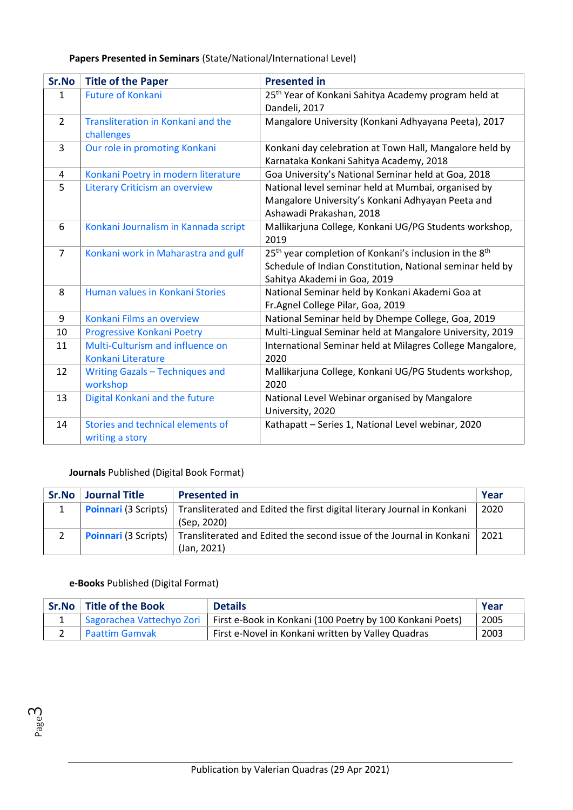|  | Papers Presented in Seminars (State/National/International Level) |
|--|-------------------------------------------------------------------|
|--|-------------------------------------------------------------------|

| Sr.No          | <b>Title of the Paper</b>                              | <b>Presented in</b>                                                                                                                                                         |
|----------------|--------------------------------------------------------|-----------------------------------------------------------------------------------------------------------------------------------------------------------------------------|
| $\mathbf{1}$   | <b>Future of Konkani</b>                               | 25 <sup>th</sup> Year of Konkani Sahitya Academy program held at<br>Dandeli, 2017                                                                                           |
| $\overline{2}$ | Transliteration in Konkani and the<br>challenges       | Mangalore University (Konkani Adhyayana Peeta), 2017                                                                                                                        |
| 3              | Our role in promoting Konkani                          | Konkani day celebration at Town Hall, Mangalore held by<br>Karnataka Konkani Sahitya Academy, 2018                                                                          |
| 4              | Konkani Poetry in modern literature                    | Goa University's National Seminar held at Goa, 2018                                                                                                                         |
| 5              | <b>Literary Criticism an overview</b>                  | National level seminar held at Mumbai, organised by<br>Mangalore University's Konkani Adhyayan Peeta and<br>Ashawadi Prakashan, 2018                                        |
| 6              | Konkani Journalism in Kannada script                   | Mallikarjuna College, Konkani UG/PG Students workshop,<br>2019                                                                                                              |
| $\overline{7}$ | Konkani work in Maharastra and gulf                    | 25 <sup>th</sup> year completion of Konkani's inclusion in the 8 <sup>th</sup><br>Schedule of Indian Constitution, National seminar held by<br>Sahitya Akademi in Goa, 2019 |
| 8              | Human values in Konkani Stories                        | National Seminar held by Konkani Akademi Goa at<br>Fr.Agnel College Pilar, Goa, 2019                                                                                        |
| 9              | Konkani Films an overview                              | National Seminar held by Dhempe College, Goa, 2019                                                                                                                          |
| 10             | Progressive Konkani Poetry                             | Multi-Lingual Seminar held at Mangalore University, 2019                                                                                                                    |
| 11             | Multi-Culturism and influence on<br>Konkani Literature | International Seminar held at Milagres College Mangalore,<br>2020                                                                                                           |
| 12             | Writing Gazals - Techniques and<br>workshop            | Mallikarjuna College, Konkani UG/PG Students workshop,<br>2020                                                                                                              |
| 13             | Digital Konkani and the future                         | National Level Webinar organised by Mangalore<br>University, 2020                                                                                                           |
| 14             | Stories and technical elements of<br>writing a story   | Kathapatt - Series 1, National Level webinar, 2020                                                                                                                          |

# **Journals** Published (Digital Book Format)

| Sr.No | <b>Journal Title</b> | <b>Presented in</b>                                                                                       | Year |
|-------|----------------------|-----------------------------------------------------------------------------------------------------------|------|
|       |                      | <b>Poinnari (3 Scripts)</b> Transliterated and Edited the first digital literary Journal in Konkani       | 2020 |
|       |                      | (Sep. 2020)                                                                                               |      |
|       |                      | <b>Poinnari</b> (3 Scripts)   Transliterated and Edited the second issue of the Journal in Konkani   2021 |      |
|       |                      | (Jan, 2021)                                                                                               |      |

## **e-Books** Published (Digital Format)

Page ന

| Sr.No Title of the Book | <b>Details</b>                                                                        | . Year |
|-------------------------|---------------------------------------------------------------------------------------|--------|
|                         | Sagorachea Vattechyo Zori   First e-Book in Konkani (100 Poetry by 100 Konkani Poets) | 2005   |
| 2 Paattim Gamvak        | First e-Novel in Konkani written by Valley Quadras                                    | 2003   |

Publication by Valerian Quadras (29 Apr 2021)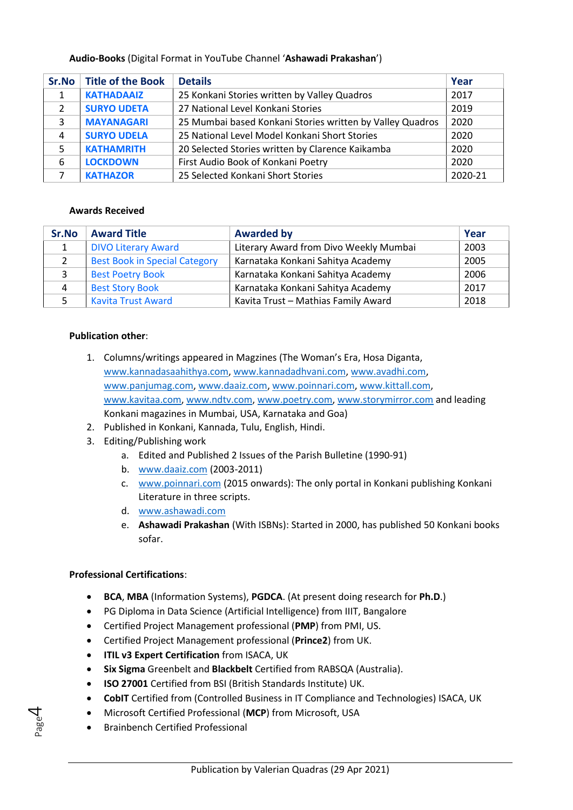### **Audio-Books** (Digital Format in YouTube Channel '**Ashawadi Prakashan**')

| Sr.No | <b>Title of the Book</b> | <b>Details</b>                                            | Year    |
|-------|--------------------------|-----------------------------------------------------------|---------|
|       | <b>KATHADAAIZ</b>        | 25 Konkani Stories written by Valley Quadros              | 2017    |
| 2     | <b>SURYO UDETA</b>       | 27 National Level Konkani Stories                         | 2019    |
| 3     | <b>MAYANAGARI</b>        | 25 Mumbai based Konkani Stories written by Valley Quadros | 2020    |
| 4     | <b>SURYO UDELA</b>       | 25 National Level Model Konkani Short Stories             | 2020    |
| 5     | <b>KATHAMRITH</b>        | 20 Selected Stories written by Clarence Kaikamba          | 2020    |
| 6     | <b>LOCKDOWN</b>          | First Audio Book of Konkani Poetry                        | 2020    |
|       | <b>KATHAZOR</b>          | 25 Selected Konkani Short Stories                         | 2020-21 |

#### **Awards Received**

| Sr.No | <b>Award Title</b>                   | <b>Awarded by</b>                      | Year |
|-------|--------------------------------------|----------------------------------------|------|
|       | <b>DIVO Literary Award</b>           | Literary Award from Divo Weekly Mumbai | 2003 |
| 2     | <b>Best Book in Special Category</b> | Karnataka Konkani Sahitya Academy      | 2005 |
| 3     | <b>Best Poetry Book</b>              | Karnataka Konkani Sahitya Academy      | 2006 |
| 4     | <b>Best Story Book</b>               | Karnataka Konkani Sahitya Academy      | 2017 |
|       | <b>Kavita Trust Award</b>            | Kavita Trust - Mathias Family Award    | 2018 |

#### **Publication other**:

- 1. Columns/writings appeared in Magzines (The Woman's Era, Hosa Diganta, [www.kannadasaahithya.com,](http://www.kannadasaahithya.com/) [www.kannadadhvani.com,](http://www.kannadadhvani.com/) [www.avadhi.com,](http://www.avadhi.com/) [www.panjumag.com,](http://www.panjumag.com/) [www.daaiz.com,](http://www.daaiz.com/) [www.poinnari.com,](http://www.poinnari.com/) [www.kittall.com,](http://www.kittall.com/) [www.kavitaa.com,](http://www.kavitaa.com/) [www.ndtv.com,](http://www.ndtv.com/) [www.poetry.com,](http://www.poetry.com/) [www.storymirror.com](http://www.storymirror.com/) and leading Konkani magazines in Mumbai, USA, Karnataka and Goa)
- 2. Published in Konkani, Kannada, Tulu, English, Hindi.
- 3. Editing/Publishing work
	- a. Edited and Published 2 Issues of the Parish Bulletine (1990-91)
	- b. [www.daaiz.com](http://www.daaiz.com/) (2003-2011)
	- c. [www.poinnari.com](http://www.poinnari.com/) (2015 onwards): The only portal in Konkani publishing Konkani Literature in three scripts.
	- d. [www.ashawadi.com](http://www.ashawadi.com/)
	- e. **Ashawadi Prakashan** (With ISBNs): Started in 2000, has published 50 Konkani books sofar.

#### **Professional Certifications**:

Page 4

- **BCA**, **MBA** (Information Systems), **PGDCA**. (At present doing research for **Ph.D**.)
- PG Diploma in Data Science (Artificial Intelligence) from IIIT, Bangalore
- Certified Project Management professional (**PMP**) from PMI, US.
- Certified Project Management professional (**Prince2**) from UK.
- **ITIL v3 Expert Certification** from ISACA, UK
- **Six Sigma** Greenbelt and **Blackbelt** Certified from RABSQA (Australia).
- **ISO 27001** Certified from BSI (British Standards Institute) UK.
- **CobIT** Certified from (Controlled Business in IT Compliance and Technologies) ISACA, UK
- Microsoft Certified Professional (**MCP**) from Microsoft, USA
- Brainbench Certified Professional